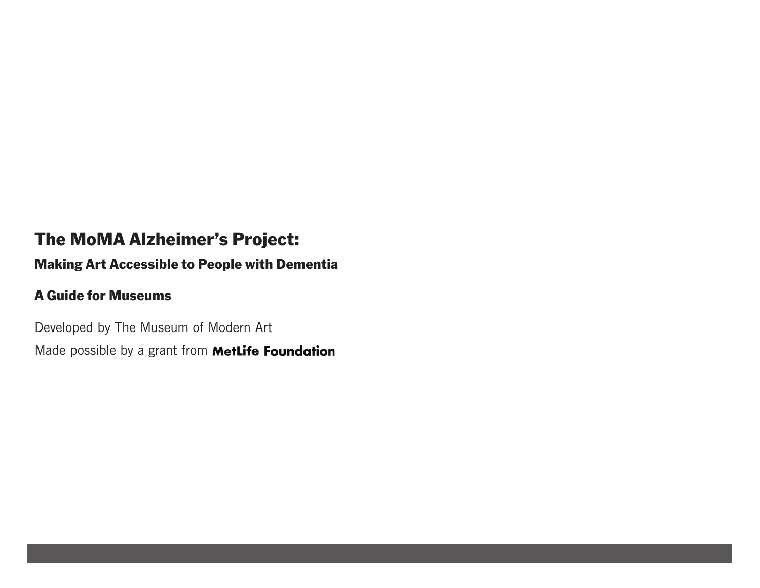# The MoMA Alzheimer's Project:

## Making Art Accessible to People with Dementia

## A Guide for Museums

Developed by The Museum of Modern Art Made possible by a grant from **MetLife Foundation**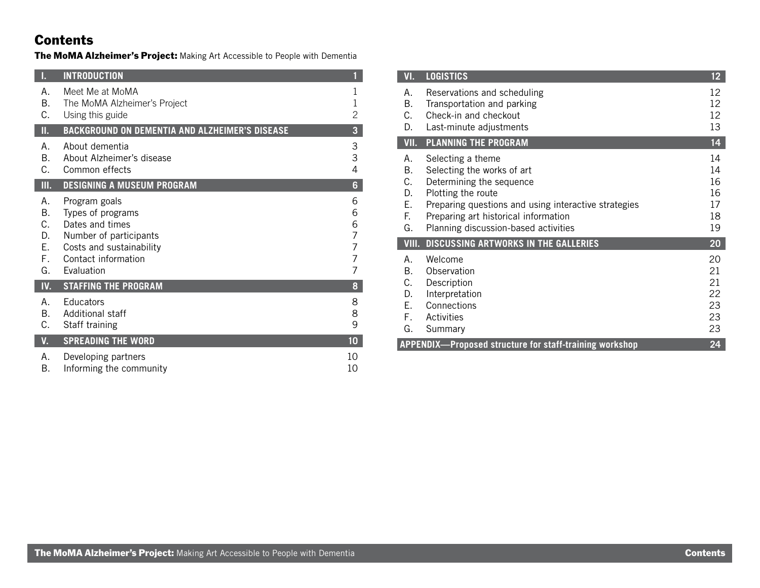## Contents

The MoMA Alzheimer's Project: Making Art Accessible to People with Dementia

| IH             | <b>INTRODUCTION</b>                                   | 1               |
|----------------|-------------------------------------------------------|-----------------|
| А.             | Meet Me at MoMA                                       | 1               |
| B.             | The MoMA Alzheimer's Project                          | 1               |
| С.             | Using this guide                                      | 2               |
| Π.             | <b>BACKGROUND ON DEMENTIA AND ALZHEIMER'S DISEASE</b> | 3               |
| Α.             | About dementia                                        | 3               |
| B <sub>1</sub> | About Alzheimer's disease                             | 3               |
| C.             | Common effects                                        | 4               |
| Ш.             | <b>DESIGNING A MUSEUM PROGRAM</b>                     | 6               |
| А.             | Program goals                                         | 6               |
| В.             | Types of programs                                     | 6               |
| C.             | Dates and times                                       | 6               |
| D.             | Number of participants                                | 7               |
| Ε.             | Costs and sustainability                              | 7               |
| F.             | Contact information                                   | 7               |
| G.             | Fvaluation                                            | 7               |
| IV.            | <b>STAFFING THE PROGRAM</b>                           | 8               |
| Α.             | <b>Educators</b>                                      | 8               |
| B <sub>r</sub> | Additional staff                                      | 8               |
| С.             | Staff training                                        | 9               |
| V.             | <b>SPREADING THE WORD</b>                             | 10 <sub>1</sub> |
| А.             | Developing partners                                   | 10              |
| В.             | Informing the community                               | 10              |

| VI.                                                                  | <b>LOGISTICS</b>                                                                                                                                                                                                                          | 12                                     |  |
|----------------------------------------------------------------------|-------------------------------------------------------------------------------------------------------------------------------------------------------------------------------------------------------------------------------------------|----------------------------------------|--|
| А.<br>B.<br>С.<br>D.                                                 | Reservations and scheduling<br>Transportation and parking<br>Check-in and checkout<br>Last-minute adjustments                                                                                                                             | 12<br>12<br>12<br>13                   |  |
| VII.                                                                 | PLANNING THE PROGRAM                                                                                                                                                                                                                      | 14                                     |  |
| А.<br>В.<br>C.<br>D.<br>Ε.<br>F.<br>G.                               | Selecting a theme<br>Selecting the works of art<br>Determining the sequence<br>Plotting the route<br>Preparing questions and using interactive strategies<br>Preparing art historical information<br>Planning discussion-based activities | 14<br>14<br>16<br>16<br>17<br>18<br>19 |  |
| VIII.                                                                | <b>DISCUSSING ARTWORKS IN THE GALLERIES</b>                                                                                                                                                                                               | 20                                     |  |
| А.<br>B.<br>С.<br>D.<br>Ε.<br>F.<br>G.                               | Welcome<br>Observation<br>Description<br>Interpretation<br>Connections<br>Activities<br>Summary                                                                                                                                           | 20<br>21<br>21<br>22<br>23<br>23<br>23 |  |
| 24<br><b>APPENDIX-Proposed structure for staff-training workshop</b> |                                                                                                                                                                                                                                           |                                        |  |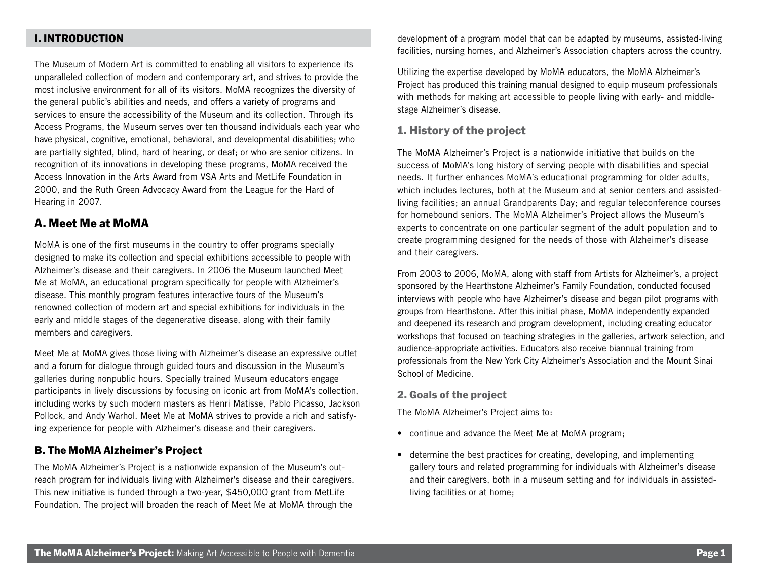### I. INTRODUCTION

The Museum of Modern Art is committed to enabling all visitors to experience its unparalleled collection of modern and contemporary art, and strives to provide the most inclusive environment for all of its visitors. MoMA recognizes the diversity of the general public's abilities and needs, and offers a variety of programs and services to ensure the accessibility of the Museum and its collection. Through its Access Programs, the Museum serves over ten thousand individuals each year who have physical, cognitive, emotional, behavioral, and developmental disabilities; who are partially sighted, blind, hard of hearing, or deaf; or who are senior citizens. In recognition of its innovations in developing these programs, MoMA received the Access Innovation in the Arts Award from VSA Arts and MetLife Foundation in 2000, and the Ruth Green Advocacy Award from the League for the Hard of Hearing in 2007.

### A. Meet Me at MoMA

MoMA is one of the first museums in the country to offer programs specially designed to make its collection and special exhibitions accessible to people with Alzheimer's disease and their caregivers. In 2006 the Museum launched Meet Me at MoMA, an educational program specifically for people with Alzheimer's disease. This monthly program features interactive tours of the Museum's renowned collection of modern art and special exhibitions for individuals in the early and middle stages of the degenerative disease, along with their family members and caregivers.

Meet Me at MoMA gives those living with Alzheimer's disease an expressive outlet and a forum for dialogue through guided tours and discussion in the Museum's galleries during nonpublic hours. Specially trained Museum educators engage participants in lively discussions by focusing on iconic art from MoMA's collection, including works by such modern masters as Henri Matisse, Pablo Picasso, Jackson Pollock, and Andy Warhol. Meet Me at MoMA strives to provide a rich and satisfying experience for people with Alzheimer's disease and their caregivers.

### B. The MoMA Alzheimer's Project

The MoMA Alzheimer's Project is a nationwide expansion of the Museum's outreach program for individuals living with Alzheimer's disease and their caregivers. This new initiative is funded through a two-year, \$450,000 grant from MetLife Foundation. The project will broaden the reach of Meet Me at MoMA through the

development of a program model that can be adapted by museums, assisted-living facilities, nursing homes, and Alzheimer's Association chapters across the country.

Utilizing the expertise developed by MoMA educators, the MoMA Alzheimer's Project has produced this training manual designed to equip museum professionals with methods for making art accessible to people living with early- and middlestage Alzheimer's disease.

### 1. History of the project

The MoMA Alzheimer's Project is a nationwide initiative that builds on the success of MoMA's long history of serving people with disabilities and special needs. It further enhances MoMA's educational programming for older adults, which includes lectures, both at the Museum and at senior centers and assistedliving facilities; an annual Grandparents Day; and regular teleconference courses for homebound seniors. The MoMA Alzheimer's Project allows the Museum's experts to concentrate on one particular segment of the adult population and to create programming designed for the needs of those with Alzheimer's disease and their caregivers.

From 2003 to 2006, MoMA, along with staff from Artists for Alzheimer's, a project sponsored by the Hearthstone Alzheimer's Family Foundation, conducted focused interviews with people who have Alzheimer's disease and began pilot programs with groups from Hearthstone. After this initial phase, MoMA independently expanded and deepened its research and program development, including creating educator workshops that focused on teaching strategies in the galleries, artwork selection, and audience-appropriate activities. Educators also receive biannual training from professionals from the New York City Alzheimer's Association and the Mount Sinai School of Medicine.

#### 2. Goals of the project

The MoMA Alzheimer's Project aims to:

- continue and advance the Meet Me at MoMA program;
- determine the best practices for creating, developing, and implementing gallery tours and related programming for individuals with Alzheimer's disease and their caregivers, both in a museum setting and for individuals in assistedliving facilities or at home;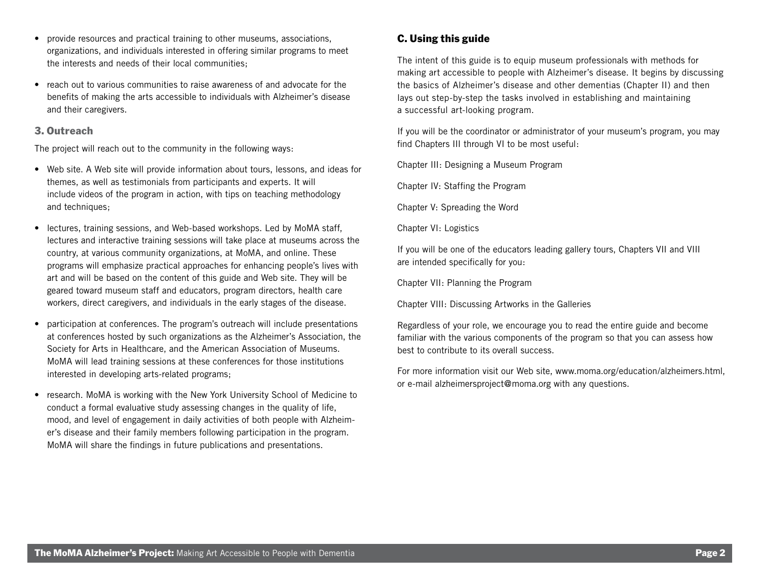- provide resources and practical training to other museums, associations, organizations, and individuals interested in offering similar programs to meet the interests and needs of their local communities;
- reach out to various communities to raise awareness of and advocate for the benefits of making the arts accessible to individuals with Alzheimer's disease and their caregivers.

### 3. Outreach

The project will reach out to the community in the following ways:

- Web site. A Web site will provide information about tours, lessons, and ideas for themes, as well as testimonials from participants and experts. It will include videos of the program in action, with tips on teaching methodology and techniques;
- lectures, training sessions, and Web-based workshops. Led by MoMA staff, lectures and interactive training sessions will take place at museums across the country, at various community organizations, at MoMA, and online. These programs will emphasize practical approaches for enhancing people's lives with art and will be based on the content of this guide and Web site. They will be geared toward museum staff and educators, program directors, health care workers, direct caregivers, and individuals in the early stages of the disease.
- participation at conferences. The program's outreach will include presentations at conferences hosted by such organizations as the Alzheimer's Association, the Society for Arts in Healthcare, and the American Association of Museums. MoMA will lead training sessions at these conferences for those institutions interested in developing arts-related programs;
- research. MoMA is working with the New York University School of Medicine to conduct a formal evaluative study assessing changes in the quality of life, mood, and level of engagement in daily activities of both people with Alzheimer's disease and their family members following participation in the program. MoMA will share the findings in future publications and presentations.

## C. Using this guide

The intent of this guide is to equip museum professionals with methods for making art accessible to people with Alzheimer's disease. It begins by discussing the basics of Alzheimer's disease and other dementias (Chapter II) and then lays out step-by-step the tasks involved in establishing and maintaining a successful art-looking program.

If you will be the coordinator or administrator of your museum's program, you may find Chapters III through VI to be most useful:

Chapter III: Designing a Museum Program

Chapter IV: Staffing the Program

Chapter V: Spreading the Word

Chapter VI: Logistics

If you will be one of the educators leading gallery tours, Chapters VII and VIII are intended specifically for you:

Chapter VII: Planning the Program

Chapter VIII: Discussing Artworks in the Galleries

Regardless of your role, we encourage you to read the entire guide and become familiar with the various components of the program so that you can assess how best to contribute to its overall success.

For more information visit our Web site, www.moma.org/education/alzheimers.html, or e-mail alzheimersproject@moma.org with any questions.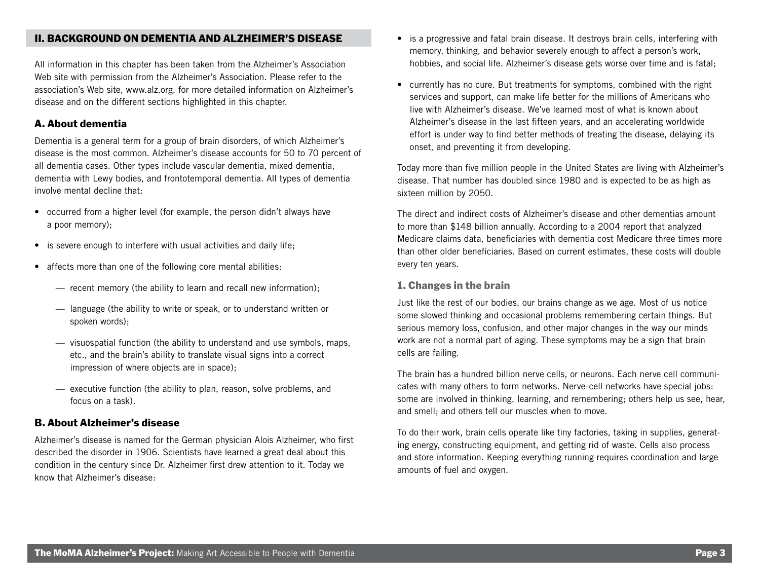### II. BACKGROUND ON DEMENTIA AND ALZHEIMER'S DISEASE

All information in this chapter has been taken from the Alzheimer's Association Web site with permission from the Alzheimer's Association. Please refer to the association's Web site, www.alz.org, for more detailed information on Alzheimer's disease and on the different sections highlighted in this chapter.

### A. About dementia

Dementia is a general term for a group of brain disorders, of which Alzheimer's disease is the most common. Alzheimer's disease accounts for 50 to 70 percent of all dementia cases. Other types include vascular dementia, mixed dementia, dementia with Lewy bodies, and frontotemporal dementia. All types of dementia involve mental decline that:

- occurred from a higher level (for example, the person didn't always have a poor memory);
- is severe enough to interfere with usual activities and daily life;
- affects more than one of the following core mental abilities:
	- recent memory (the ability to learn and recall new information);
	- language (the ability to write or speak, or to understand written or spoken words);
	- visuospatial function (the ability to understand and use symbols, maps, etc., and the brain's ability to translate visual signs into a correct impression of where objects are in space);
	- executive function (the ability to plan, reason, solve problems, and focus on a task).

### B. About Alzheimer's disease

Alzheimer's disease is named for the German physician Alois Alzheimer, who first described the disorder in 1906. Scientists have learned a great deal about this condition in the century since Dr. Alzheimer first drew attention to it. Today we know that Alzheimer's disease:

- is a progressive and fatal brain disease. It destroys brain cells, interfering with memory, thinking, and behavior severely enough to affect a person's work, hobbies, and social life. Alzheimer's disease gets worse over time and is fatal;
- currently has no cure. But treatments for symptoms, combined with the right services and support, can make life better for the millions of Americans who live with Alzheimer's disease. We've learned most of what is known about Alzheimer's disease in the last fifteen years, and an accelerating worldwide effort is under way to find better methods of treating the disease, delaying its onset, and preventing it from developing.

Today more than five million people in the United States are living with Alzheimer's disease. That number has doubled since 1980 and is expected to be as high as sixteen million by 2050.

The direct and indirect costs of Alzheimer's disease and other dementias amount to more than \$148 billion annually. According to a 2004 report that analyzed Medicare claims data, beneficiaries with dementia cost Medicare three times more than other older beneficiaries. Based on current estimates, these costs will double every ten years.

### 1. Changes in the brain

Just like the rest of our bodies, our brains change as we age. Most of us notice some slowed thinking and occasional problems remembering certain things. But serious memory loss, confusion, and other major changes in the way our minds work are not a normal part of aging. These symptoms may be a sign that brain cells are failing.

The brain has a hundred billion nerve cells, or neurons. Each nerve cell communicates with many others to form networks. Nerve-cell networks have special jobs: some are involved in thinking, learning, and remembering; others help us see, hear, and smell; and others tell our muscles when to move.

To do their work, brain cells operate like tiny factories, taking in supplies, generating energy, constructing equipment, and getting rid of waste. Cells also process and store information. Keeping everything running requires coordination and large amounts of fuel and oxygen.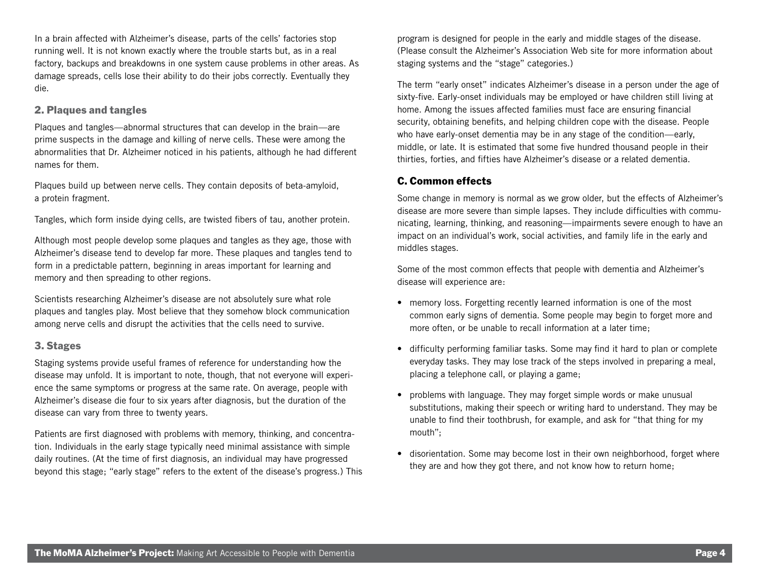In a brain affected with Alzheimer's disease, parts of the cells' factories stop running well. It is not known exactly where the trouble starts but, as in a real factory, backups and breakdowns in one system cause problems in other areas. As damage spreads, cells lose their ability to do their jobs correctly. Eventually they die.

### 2. Plaques and tangles

Plaques and tangles—abnormal structures that can develop in the brain—are prime suspects in the damage and killing of nerve cells. These were among the abnormalities that Dr. Alzheimer noticed in his patients, although he had different names for them.

Plaques build up between nerve cells. They contain deposits of beta-amyloid, a protein fragment.

Tangles, which form inside dying cells, are twisted fibers of tau, another protein.

Although most people develop some plaques and tangles as they age, those with Alzheimer's disease tend to develop far more. These plaques and tangles tend to form in a predictable pattern, beginning in areas important for learning and memory and then spreading to other regions.

Scientists researching Alzheimer's disease are not absolutely sure what role plaques and tangles play. Most believe that they somehow block communication among nerve cells and disrupt the activities that the cells need to survive.

### 3. Stages

Staging systems provide useful frames of reference for understanding how the disease may unfold. It is important to note, though, that not everyone will experience the same symptoms or progress at the same rate. On average, people with Alzheimer's disease die four to six years after diagnosis, but the duration of the disease can vary from three to twenty years.

Patients are first diagnosed with problems with memory, thinking, and concentration. Individuals in the early stage typically need minimal assistance with simple daily routines. (At the time of first diagnosis, an individual may have progressed beyond this stage; "early stage" refers to the extent of the disease's progress.) This

program is designed for people in the early and middle stages of the disease. (Please consult the Alzheimer's Association Web site for more information about staging systems and the "stage" categories.)

The term "early onset" indicates Alzheimer's disease in a person under the age of sixty-five. Early-onset individuals may be employed or have children still living at home. Among the issues affected families must face are ensuring financial security, obtaining benefits, and helping children cope with the disease. People who have early-onset dementia may be in any stage of the condition—early, middle, or late. It is estimated that some five hundred thousand people in their thirties, forties, and fifties have Alzheimer's disease or a related dementia.

### C. Common effects

Some change in memory is normal as we grow older, but the effects of Alzheimer's disease are more severe than simple lapses. They include difficulties with communicating, learning, thinking, and reasoning—impairments severe enough to have an impact on an individual's work, social activities, and family life in the early and middles stages.

Some of the most common effects that people with dementia and Alzheimer's disease will experience are:

- memory loss. Forgetting recently learned information is one of the most common early signs of dementia. Some people may begin to forget more and more often, or be unable to recall information at a later time;
- difficulty performing familiar tasks. Some may find it hard to plan or complete everyday tasks. They may lose track of the steps involved in preparing a meal, placing a telephone call, or playing a game;
- problems with language. They may forget simple words or make unusual substitutions, making their speech or writing hard to understand. They may be unable to find their toothbrush, for example, and ask for "that thing for my mouth";
- disorientation. Some may become lost in their own neighborhood, forget where they are and how they got there, and not know how to return home;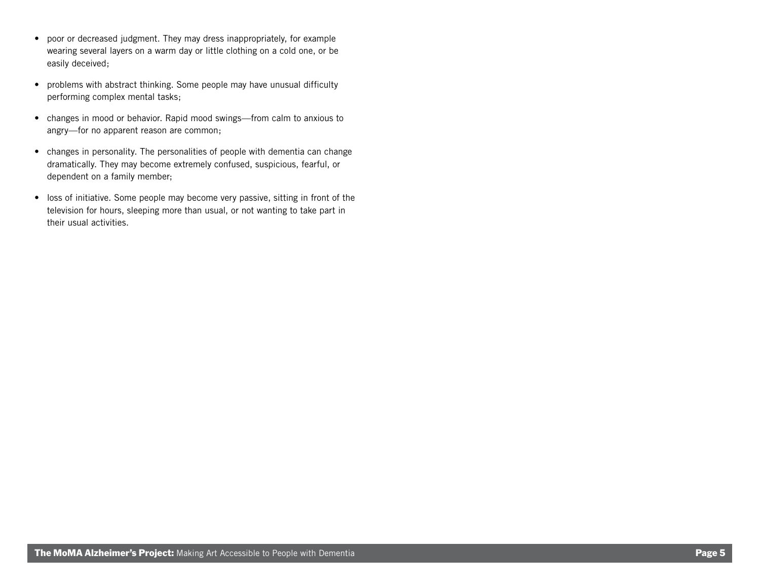- poor or decreased judgment. They may dress inappropriately, for example wearing several layers on a warm day or little clothing on a cold one, or be easily deceived;
- problems with abstract thinking. Some people may have unusual difficulty performing complex mental tasks;
- changes in mood or behavior. Rapid mood swings—from calm to anxious to angry—for no apparent reason are common;
- changes in personality. The personalities of people with dementia can change dramatically. They may become extremely confused, suspicious, fearful, or dependent on a family member;
- loss of initiative. Some people may become very passive, sitting in front of the television for hours, sleeping more than usual, or not wanting to take part in their usual activities.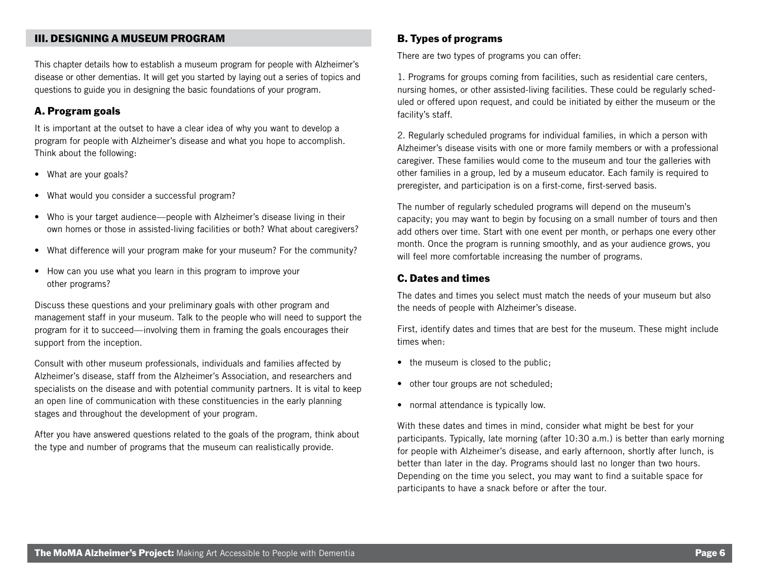### III. DESIGNING A MUSEUM PROGRAM

This chapter details how to establish a museum program for people with Alzheimer's disease or other dementias. It will get you started by laying out a series of topics and questions to guide you in designing the basic foundations of your program.

### A. Program goals

It is important at the outset to have a clear idea of why you want to develop a program for people with Alzheimer's disease and what you hope to accomplish. Think about the following:

- What are your goals?
- What would you consider a successful program?
- Who is your target audience—people with Alzheimer's disease living in their own homes or those in assisted-living facilities or both? What about caregivers?
- What difference will your program make for your museum? For the community?
- How can you use what you learn in this program to improve your other programs?

Discuss these questions and your preliminary goals with other program and management staff in your museum. Talk to the people who will need to support the program for it to succeed—involving them in framing the goals encourages their support from the inception.

Consult with other museum professionals, individuals and families affected by Alzheimer's disease, staff from the Alzheimer's Association, and researchers and specialists on the disease and with potential community partners. It is vital to keep an open line of communication with these constituencies in the early planning stages and throughout the development of your program.

After you have answered questions related to the goals of the program, think about the type and number of programs that the museum can realistically provide.

### B. Types of programs

There are two types of programs you can offer:

1. Programs for groups coming from facilities, such as residential care centers, nursing homes, or other assisted-living facilities. These could be regularly scheduled or offered upon request, and could be initiated by either the museum or the facility's staff.

2. Regularly scheduled programs for individual families, in which a person with Alzheimer's disease visits with one or more family members or with a professional caregiver. These families would come to the museum and tour the galleries with other families in a group, led by a museum educator. Each family is required to preregister, and participation is on a first-come, first-served basis.

The number of regularly scheduled programs will depend on the museum's capacity; you may want to begin by focusing on a small number of tours and then add others over time. Start with one event per month, or perhaps one every other month. Once the program is running smoothly, and as your audience grows, you will feel more comfortable increasing the number of programs.

### C. Dates and times

The dates and times you select must match the needs of your museum but also the needs of people with Alzheimer's disease.

First, identify dates and times that are best for the museum. These might include times when:

- the museum is closed to the public;
- other tour groups are not scheduled;
- normal attendance is typically low.

With these dates and times in mind, consider what might be best for your participants. Typically, late morning (after 10:30 a.m.) is better than early morning for people with Alzheimer's disease, and early afternoon, shortly after lunch, is better than later in the day. Programs should last no longer than two hours. Depending on the time you select, you may want to find a suitable space for participants to have a snack before or after the tour.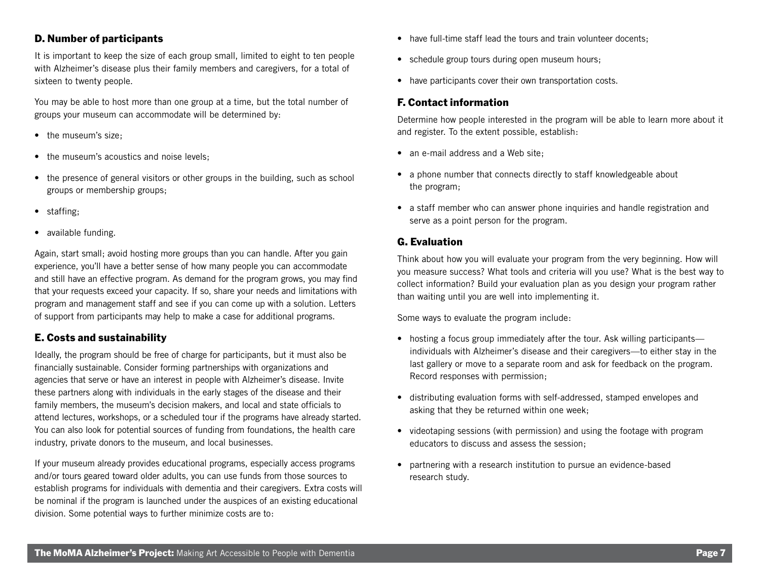### D. Number of participants

It is important to keep the size of each group small, limited to eight to ten people with Alzheimer's disease plus their family members and caregivers, for a total of sixteen to twenty people.

You may be able to host more than one group at a time, but the total number of groups your museum can accommodate will be determined by:

- the museum's size:
- the museum's acoustics and noise levels;
- the presence of general visitors or other groups in the building, such as school groups or membership groups;
- staffing;
- available funding.

Again, start small; avoid hosting more groups than you can handle. After you gain experience, you'll have a better sense of how many people you can accommodate and still have an effective program. As demand for the program grows, you may find that your requests exceed your capacity. If so, share your needs and limitations with program and management staff and see if you can come up with a solution. Letters of support from participants may help to make a case for additional programs.

### E. Costs and sustainability

Ideally, the program should be free of charge for participants, but it must also be financially sustainable. Consider forming partnerships with organizations and agencies that serve or have an interest in people with Alzheimer's disease. Invite these partners along with individuals in the early stages of the disease and their family members, the museum's decision makers, and local and state officials to attend lectures, workshops, or a scheduled tour if the programs have already started. You can also look for potential sources of funding from foundations, the health care industry, private donors to the museum, and local businesses.

If your museum already provides educational programs, especially access programs and/or tours geared toward older adults, you can use funds from those sources to establish programs for individuals with dementia and their caregivers. Extra costs will be nominal if the program is launched under the auspices of an existing educational division. Some potential ways to further minimize costs are to:

- have full-time staff lead the tours and train volunteer docents:
- schedule group tours during open museum hours;
- have participants cover their own transportation costs.

### F. Contact information

Determine how people interested in the program will be able to learn more about it and register. To the extent possible, establish:

- an e-mail address and a Web site:
- a phone number that connects directly to staff knowledgeable about the program;
- a staff member who can answer phone inquiries and handle registration and serve as a point person for the program.

### G. Evaluation

Think about how you will evaluate your program from the very beginning. How will you measure success? What tools and criteria will you use? What is the best way to collect information? Build your evaluation plan as you design your program rather than waiting until you are well into implementing it.

Some ways to evaluate the program include:

- hosting a focus group immediately after the tour. Ask willing participants individuals with Alzheimer's disease and their caregivers—to either stay in the last gallery or move to a separate room and ask for feedback on the program. Record responses with permission;
- distributing evaluation forms with self-addressed, stamped envelopes and asking that they be returned within one week;
- videotaping sessions (with permission) and using the footage with program educators to discuss and assess the session;
- partnering with a research institution to pursue an evidence-based research study.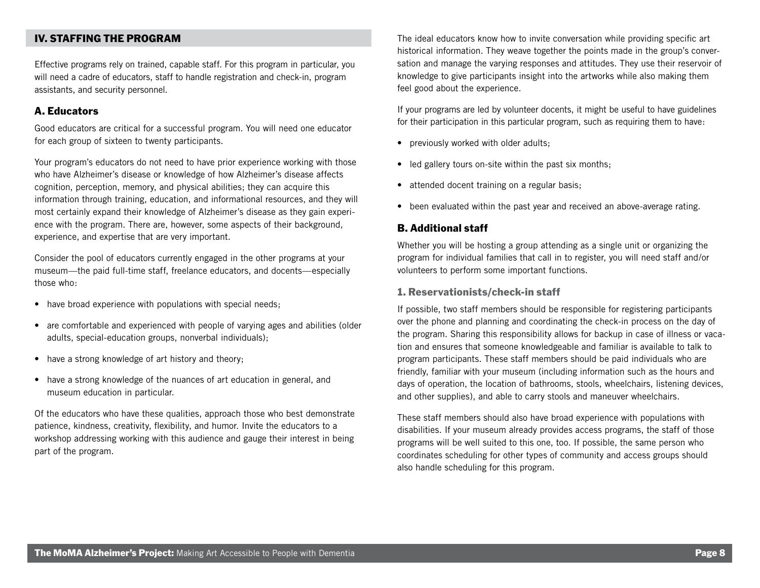### IV. STAFFING THE PROGRAM

Effective programs rely on trained, capable staff. For this program in particular, you will need a cadre of educators, staff to handle registration and check-in, program assistants, and security personnel.

#### A. Educators

Good educators are critical for a successful program. You will need one educator for each group of sixteen to twenty participants.

Your program's educators do not need to have prior experience working with those who have Alzheimer's disease or knowledge of how Alzheimer's disease affects cognition, perception, memory, and physical abilities; they can acquire this information through training, education, and informational resources, and they will most certainly expand their knowledge of Alzheimer's disease as they gain experience with the program. There are, however, some aspects of their background, experience, and expertise that are very important.

Consider the pool of educators currently engaged in the other programs at your museum—the paid full-time staff, freelance educators, and docents—especially those who:

- have broad experience with populations with special needs;
- are comfortable and experienced with people of varying ages and abilities (older adults, special-education groups, nonverbal individuals);
- have a strong knowledge of art history and theory;
- have a strong knowledge of the nuances of art education in general, and museum education in particular.

Of the educators who have these qualities, approach those who best demonstrate patience, kindness, creativity, flexibility, and humor. Invite the educators to a workshop addressing working with this audience and gauge their interest in being part of the program.

The ideal educators know how to invite conversation while providing specific art historical information. They weave together the points made in the group's conversation and manage the varying responses and attitudes. They use their reservoir of knowledge to give participants insight into the artworks while also making them feel good about the experience.

If your programs are led by volunteer docents, it might be useful to have guidelines for their participation in this particular program, such as requiring them to have:

- previously worked with older adults;
- led gallery tours on-site within the past six months;
- attended docent training on a regular basis;
- been evaluated within the past year and received an above-average rating.

#### B. Additional staff

Whether you will be hosting a group attending as a single unit or organizing the program for individual families that call in to register, you will need staff and/or volunteers to perform some important functions.

#### 1. Reservationists/check-in staff

If possible, two staff members should be responsible for registering participants over the phone and planning and coordinating the check-in process on the day of the program. Sharing this responsibility allows for backup in case of illness or vacation and ensures that someone knowledgeable and familiar is available to talk to program participants. These staff members should be paid individuals who are friendly, familiar with your museum (including information such as the hours and days of operation, the location of bathrooms, stools, wheelchairs, listening devices, and other supplies), and able to carry stools and maneuver wheelchairs.

These staff members should also have broad experience with populations with disabilities. If your museum already provides access programs, the staff of those programs will be well suited to this one, too. If possible, the same person who coordinates scheduling for other types of community and access groups should also handle scheduling for this program.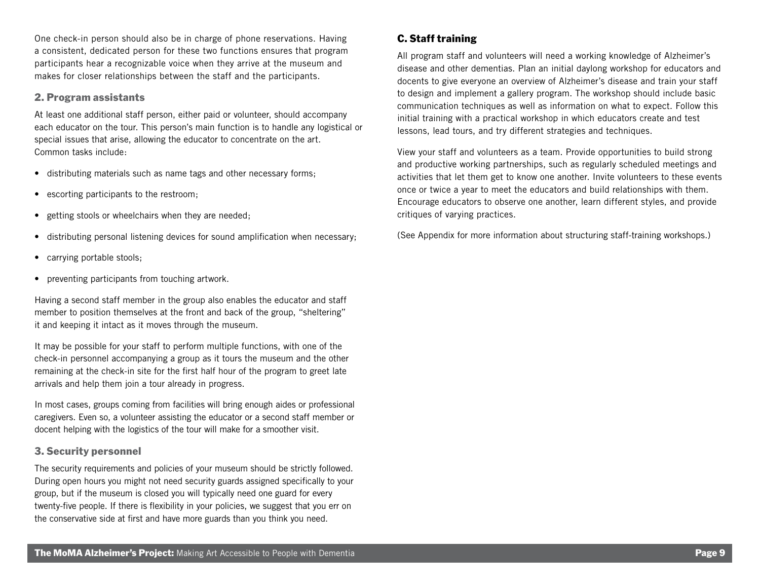One check-in person should also be in charge of phone reservations. Having a consistent, dedicated person for these two functions ensures that program participants hear a recognizable voice when they arrive at the museum and makes for closer relationships between the staff and the participants.

#### 2. Program assistants

At least one additional staff person, either paid or volunteer, should accompany each educator on the tour. This person's main function is to handle any logistical or special issues that arise, allowing the educator to concentrate on the art. Common tasks include:

- distributing materials such as name tags and other necessary forms;
- escorting participants to the restroom;
- getting stools or wheelchairs when they are needed;
- distributing personal listening devices for sound amplification when necessary;
- carrying portable stools;
- preventing participants from touching artwork.

Having a second staff member in the group also enables the educator and staff member to position themselves at the front and back of the group, "sheltering" it and keeping it intact as it moves through the museum.

It may be possible for your staff to perform multiple functions, with one of the check-in personnel accompanying a group as it tours the museum and the other remaining at the check-in site for the first half hour of the program to greet late arrivals and help them join a tour already in progress.

In most cases, groups coming from facilities will bring enough aides or professional caregivers. Even so, a volunteer assisting the educator or a second staff member or docent helping with the logistics of the tour will make for a smoother visit.

### 3. Security personnel

The security requirements and policies of your museum should be strictly followed. During open hours you might not need security guards assigned specifically to your group, but if the museum is closed you will typically need one guard for every twenty-five people. If there is flexibility in your policies, we suggest that you err on the conservative side at first and have more guards than you think you need.

### C. Staff training

All program staff and volunteers will need a working knowledge of Alzheimer's disease and other dementias. Plan an initial daylong workshop for educators and docents to give everyone an overview of Alzheimer's disease and train your staff to design and implement a gallery program. The workshop should include basic communication techniques as well as information on what to expect. Follow this initial training with a practical workshop in which educators create and test lessons, lead tours, and try different strategies and techniques.

View your staff and volunteers as a team. Provide opportunities to build strong and productive working partnerships, such as regularly scheduled meetings and activities that let them get to know one another. Invite volunteers to these events once or twice a year to meet the educators and build relationships with them. Encourage educators to observe one another, learn different styles, and provide critiques of varying practices.

(See Appendix for more information about structuring staff-training workshops.)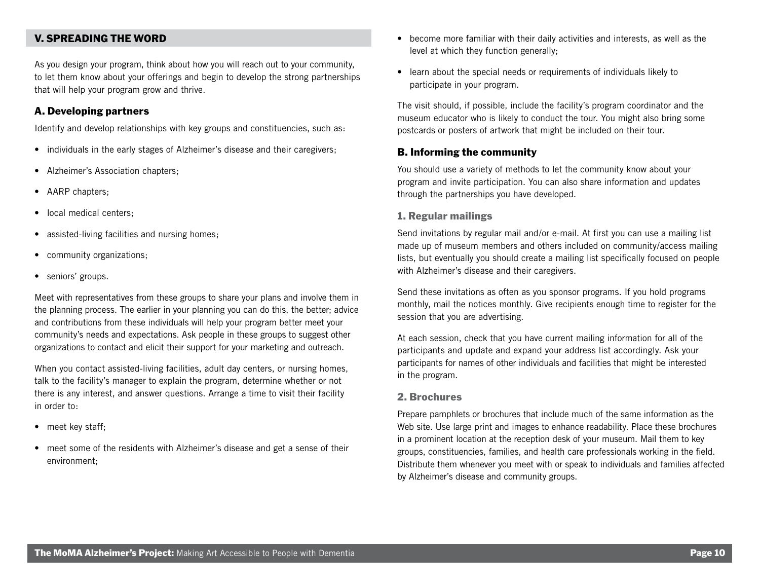### V. SPREADING THE WORD

As you design your program, think about how you will reach out to your community, to let them know about your offerings and begin to develop the strong partnerships that will help your program grow and thrive.

### A. Developing partners

Identify and develop relationships with key groups and constituencies, such as:

- individuals in the early stages of Alzheimer's disease and their caregivers;
- Alzheimer's Association chapters;
- AARP chapters;
- local medical centers;
- assisted-living facilities and nursing homes;
- community organizations;
- seniors' groups.

Meet with representatives from these groups to share your plans and involve them in the planning process. The earlier in your planning you can do this, the better; advice and contributions from these individuals will help your program better meet your community's needs and expectations. Ask people in these groups to suggest other organizations to contact and elicit their support for your marketing and outreach.

When you contact assisted-living facilities, adult day centers, or nursing homes, talk to the facility's manager to explain the program, determine whether or not there is any interest, and answer questions. Arrange a time to visit their facility in order to:

- meet key staff;
- meet some of the residents with Alzheimer's disease and get a sense of their environment;
- become more familiar with their daily activities and interests, as well as the level at which they function generally;
- learn about the special needs or requirements of individuals likely to participate in your program.

The visit should, if possible, include the facility's program coordinator and the museum educator who is likely to conduct the tour. You might also bring some postcards or posters of artwork that might be included on their tour.

#### B. Informing the community

You should use a variety of methods to let the community know about your program and invite participation. You can also share information and updates through the partnerships you have developed.

#### 1. Regular mailings

Send invitations by regular mail and/or e-mail. At first you can use a mailing list made up of museum members and others included on community/access mailing lists, but eventually you should create a mailing list specifically focused on people with Alzheimer's disease and their caregivers.

Send these invitations as often as you sponsor programs. If you hold programs monthly, mail the notices monthly. Give recipients enough time to register for the session that you are advertising.

At each session, check that you have current mailing information for all of the participants and update and expand your address list accordingly. Ask your participants for names of other individuals and facilities that might be interested in the program.

#### 2. Brochures

Prepare pamphlets or brochures that include much of the same information as the Web site. Use large print and images to enhance readability. Place these brochures in a prominent location at the reception desk of your museum. Mail them to key groups, constituencies, families, and health care professionals working in the field. Distribute them whenever you meet with or speak to individuals and families affected by Alzheimer's disease and community groups.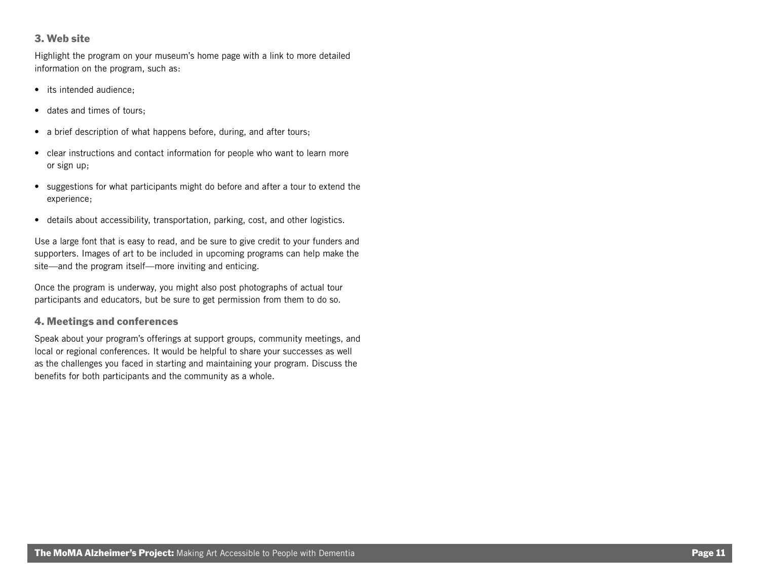### 3. Web site

Highlight the program on your museum's home page with a link to more detailed information on the program, such as:

- its intended audience:
- dates and times of tours;
- a brief description of what happens before, during, and after tours;
- clear instructions and contact information for people who want to learn more or sign up;
- suggestions for what participants might do before and after a tour to extend the experience;
- details about accessibility, transportation, parking, cost, and other logistics.

Use a large font that is easy to read, and be sure to give credit to your funders and supporters. Images of art to be included in upcoming programs can help make the site—and the program itself—more inviting and enticing.

Once the program is underway, you might also post photographs of actual tour participants and educators, but be sure to get permission from them to do so.

### 4. Meetings and conferences

Speak about your program's offerings at support groups, community meetings, and local or regional conferences. It would be helpful to share your successes as well as the challenges you faced in starting and maintaining your program. Discuss the benefits for both participants and the community as a whole.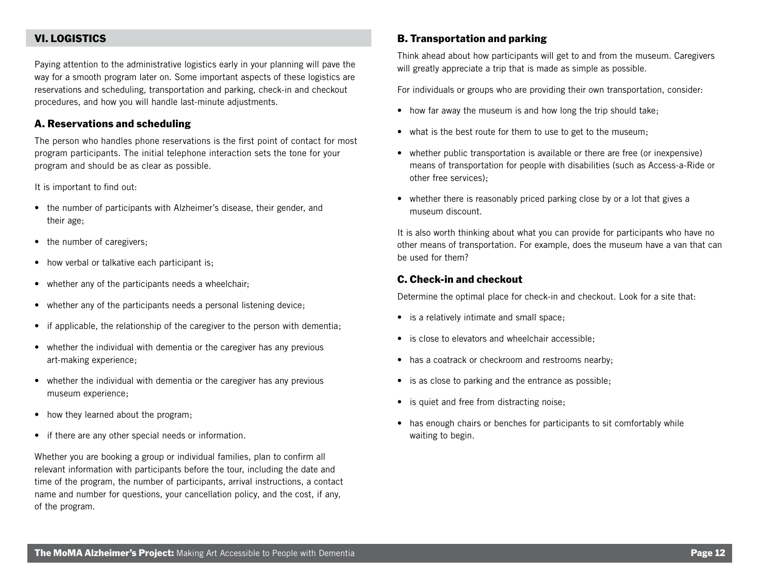### VI. LOGISTICS

Paying attention to the administrative logistics early in your planning will pave the way for a smooth program later on. Some important aspects of these logistics are reservations and scheduling, transportation and parking, check-in and checkout procedures, and how you will handle last-minute adjustments.

### A. Reservations and scheduling

The person who handles phone reservations is the first point of contact for most program participants. The initial telephone interaction sets the tone for your program and should be as clear as possible.

It is important to find out:

- the number of participants with Alzheimer's disease, their gender, and their age;
- the number of caregivers;
- how verbal or talkative each participant is;
- whether any of the participants needs a wheelchair;
- whether any of the participants needs a personal listening device;
- if applicable, the relationship of the caregiver to the person with dementia;
- whether the individual with dementia or the caregiver has any previous art-making experience;
- whether the individual with dementia or the caregiver has any previous museum experience;
- how they learned about the program;
- if there are any other special needs or information.

Whether you are booking a group or individual families, plan to confirm all relevant information with participants before the tour, including the date and time of the program, the number of participants, arrival instructions, a contact name and number for questions, your cancellation policy, and the cost, if any, of the program.

### B. Transportation and parking

Think ahead about how participants will get to and from the museum. Caregivers will greatly appreciate a trip that is made as simple as possible.

For individuals or groups who are providing their own transportation, consider:

- how far away the museum is and how long the trip should take;
- what is the best route for them to use to get to the museum;
- whether public transportation is available or there are free (or inexpensive) means of transportation for people with disabilities (such as Access-a-Ride or other free services);
- whether there is reasonably priced parking close by or a lot that gives a museum discount.

It is also worth thinking about what you can provide for participants who have no other means of transportation. For example, does the museum have a van that can be used for them?

#### C. Check-in and checkout

Determine the optimal place for check-in and checkout. Look for a site that:

- is a relatively intimate and small space;
- is close to elevators and wheelchair accessible;
- has a coatrack or checkroom and restrooms nearby;
- is as close to parking and the entrance as possible;
- is quiet and free from distracting noise;
- has enough chairs or benches for participants to sit comfortably while waiting to begin.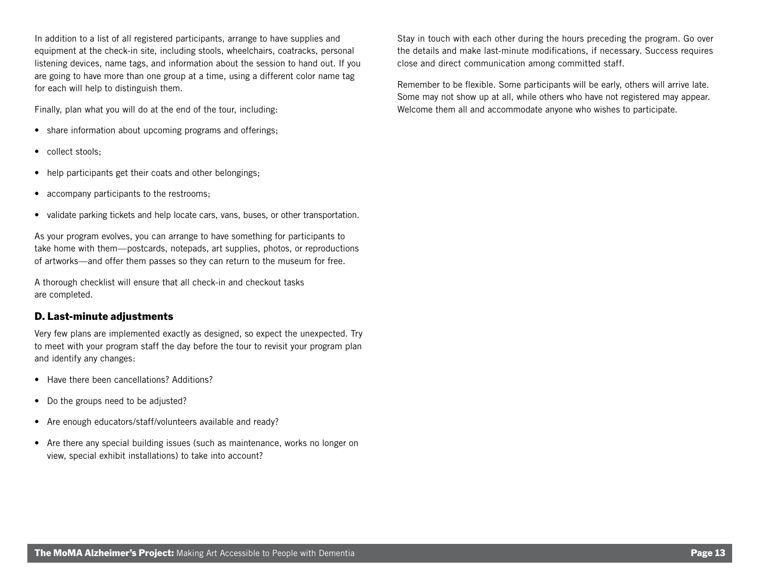In addition to a list of all registered participants, arrange to have supplies and equipment at the check-in site, including stools, wheelchairs, coatracks, personal listening devices, name tags, and information about the session to hand out. If you are going to have more than one group at a time, using a different color name tag for each will help to distinguish them.

Finally, plan what you will do at the end of the tour, including:

- share information about upcoming programs and offerings;
- collect stools;
- help participants get their coats and other belongings;
- accompany participants to the restrooms;
- validate parking tickets and help locate cars, vans, buses, or other transportation.

As your program evolves, you can arrange to have something for participants to take home with them—postcards, notepads, art supplies, photos, or reproductions of artworks—and offer them passes so they can return to the museum for free.

A thorough checklist will ensure that all check-in and checkout tasks are completed.

### D. Last-minute adjustments

Very few plans are implemented exactly as designed, so expect the unexpected. Try to meet with your program staff the day before the tour to revisit your program plan and identify any changes:

- Have there been cancellations? Additions?
- Do the groups need to be adjusted?
- Are enough educators/staff/volunteers available and ready?
- Are there any special building issues (such as maintenance, works no longer on view, special exhibit installations) to take into account?

Stay in touch with each other during the hours preceding the program. Go over the details and make last-minute modifications, if necessary. Success requires close and direct communication among committed staff.

Remember to be flexible. Some participants will be early, others will arrive late. Some may not show up at all, while others who have not registered may appear. Welcome them all and accommodate anyone who wishes to participate.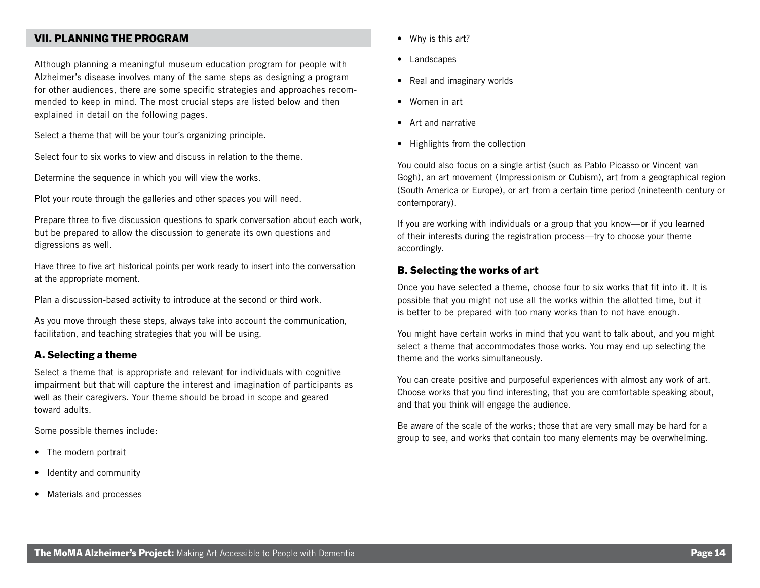### VII. PLANNING THE PROGRAM

Although planning a meaningful museum education program for people with Alzheimer's disease involves many of the same steps as designing a program for other audiences, there are some specific strategies and approaches recommended to keep in mind. The most crucial steps are listed below and then explained in detail on the following pages.

Select a theme that will be your tour's organizing principle.

Select four to six works to view and discuss in relation to the theme.

Determine the sequence in which you will view the works.

Plot your route through the galleries and other spaces you will need.

Prepare three to five discussion questions to spark conversation about each work, but be prepared to allow the discussion to generate its own questions and digressions as well.

Have three to five art historical points per work ready to insert into the conversation at the appropriate moment.

Plan a discussion-based activity to introduce at the second or third work.

As you move through these steps, always take into account the communication, facilitation, and teaching strategies that you will be using.

#### A. Selecting a theme

Select a theme that is appropriate and relevant for individuals with cognitive impairment but that will capture the interest and imagination of participants as well as their caregivers. Your theme should be broad in scope and geared toward adults.

Some possible themes include:

- The modern portrait
- Identity and community
- Materials and processes
- Why is this art?
- Landscapes
- Real and imaginary worlds
- Women in art
- Art and narrative
- Highlights from the collection

You could also focus on a single artist (such as Pablo Picasso or Vincent van Gogh), an art movement (Impressionism or Cubism), art from a geographical region (South America or Europe), or art from a certain time period (nineteenth century or contemporary).

If you are working with individuals or a group that you know—or if you learned of their interests during the registration process—try to choose your theme accordingly.

### B. Selecting the works of art

Once you have selected a theme, choose four to six works that fit into it. It is possible that you might not use all the works within the allotted time, but it is better to be prepared with too many works than to not have enough.

You might have certain works in mind that you want to talk about, and you might select a theme that accommodates those works. You may end up selecting the theme and the works simultaneously.

You can create positive and purposeful experiences with almost any work of art. Choose works that you find interesting, that you are comfortable speaking about, and that you think will engage the audience.

Be aware of the scale of the works; those that are very small may be hard for a group to see, and works that contain too many elements may be overwhelming.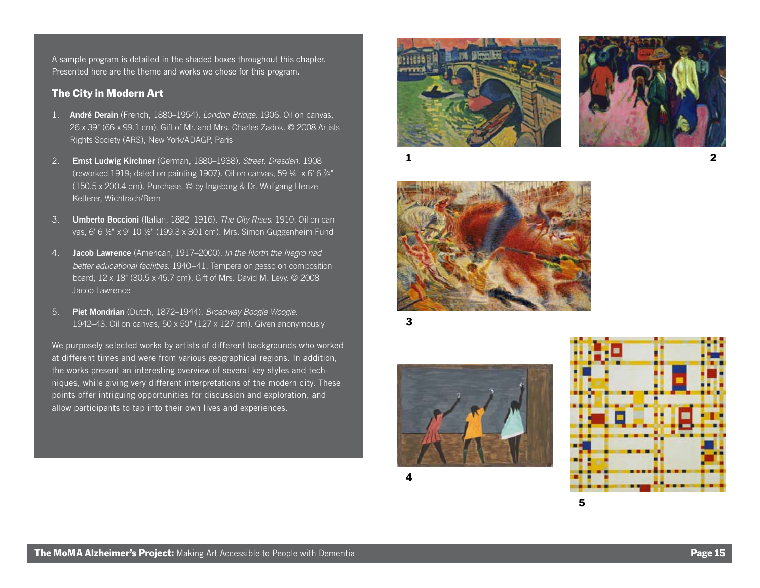A sample program is detailed in the shaded boxes throughout this chapter. Presented here are the theme and works we chose for this program.

### The City in Modern Art

- 1. **André Derain** (French, 1880–1954). *London Bridge*. 1906. Oil on canvas, 26 x 39" (66 x 99.1 cm). Gift of Mr. and Mrs. Charles Zadok. © 2008 Artists Rights Society (ARS), New York/ADAGP, Paris
- 2. **Ernst Ludwig Kirchner** (German, 1880–1938). *Street, Dresden*. 1908 (reworked 1919; dated on painting 1907). Oil on canvas, 59  $\frac{1}{4}$ " x 6' 6  $\frac{7}{8}$ " (150.5 x 200.4 cm). Purchase. © by Ingeborg & Dr. Wolfgang Henze-Ketterer, Wichtrach/Bern
- 3. **Umberto Boccioni** (Italian, 1882–1916). *The City Rises*. 1910. Oil on canvas, 6' 6 ½" x 9' 10 ½" (199.3 x 301 cm). Mrs. Simon Guggenheim Fund
- 4. **Jacob Lawrence** (American, 1917–2000). *In the North the Negro had better educational facilities*. 1940–41. Tempera on gesso on composition board, 12 x 18" (30.5 x 45.7 cm). Gift of Mrs. David M. Levy. © 2008 Jacob Lawrence
- 5. **Piet Mondrian** (Dutch, 1872–1944). *Broadway Boogie Woogie*. 1942–43. Oil on canvas, 50 x 50" (127 x 127 cm). Given anonymously

We purposely selected works by artists of different backgrounds who worked at different times and were from various geographical regions. In addition, the works present an interesting overview of several key styles and techniques, while giving very different interpretations of the modern city. These points offer intriguing opportunities for discussion and exploration, and allow participants to tap into their own lives and experiences.





2





3

4



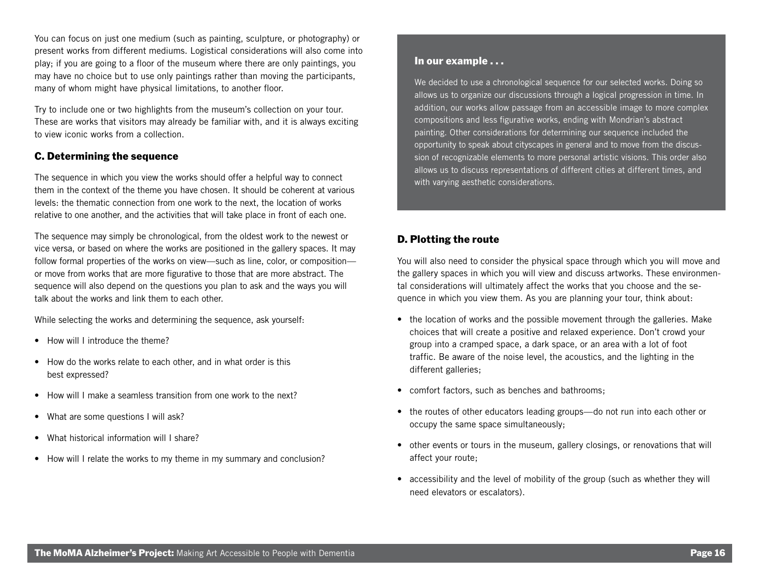You can focus on just one medium (such as painting, sculpture, or photography) or present works from different mediums. Logistical considerations will also come into play; if you are going to a floor of the museum where there are only paintings, you may have no choice but to use only paintings rather than moving the participants, many of whom might have physical limitations, to another floor.

Try to include one or two highlights from the museum's collection on your tour. These are works that visitors may already be familiar with, and it is always exciting to view iconic works from a collection.

### C. Determining the sequence

The sequence in which you view the works should offer a helpful way to connect them in the context of the theme you have chosen. It should be coherent at various levels: the thematic connection from one work to the next, the location of works relative to one another, and the activities that will take place in front of each one.

The sequence may simply be chronological, from the oldest work to the newest or vice versa, or based on where the works are positioned in the gallery spaces. It may follow formal properties of the works on view—such as line, color, or composition or move from works that are more figurative to those that are more abstract. The sequence will also depend on the questions you plan to ask and the ways you will talk about the works and link them to each other.

While selecting the works and determining the sequence, ask yourself:

- How will I introduce the theme?
- How do the works relate to each other, and in what order is this best expressed?
- How will I make a seamless transition from one work to the next?
- What are some questions I will ask?
- What historical information will I share?
- How will I relate the works to my theme in my summary and conclusion?

#### In our example . . .

We decided to use a chronological sequence for our selected works. Doing so allows us to organize our discussions through a logical progression in time. In addition, our works allow passage from an accessible image to more complex compositions and less figurative works, ending with Mondrian's abstract painting. Other considerations for determining our sequence included the opportunity to speak about cityscapes in general and to move from the discussion of recognizable elements to more personal artistic visions. This order also allows us to discuss representations of different cities at different times, and with varying aesthetic considerations.

### D. Plotting the route

You will also need to consider the physical space through which you will move and the gallery spaces in which you will view and discuss artworks. These environmental considerations will ultimately affect the works that you choose and the sequence in which you view them. As you are planning your tour, think about:

- the location of works and the possible movement through the galleries. Make choices that will create a positive and relaxed experience. Don't crowd your group into a cramped space, a dark space, or an area with a lot of foot traffic. Be aware of the noise level, the acoustics, and the lighting in the different galleries;
- comfort factors, such as benches and bathrooms;
- the routes of other educators leading groups—do not run into each other or occupy the same space simultaneously;
- other events or tours in the museum, gallery closings, or renovations that will affect your route;
- accessibility and the level of mobility of the group (such as whether they will need elevators or escalators).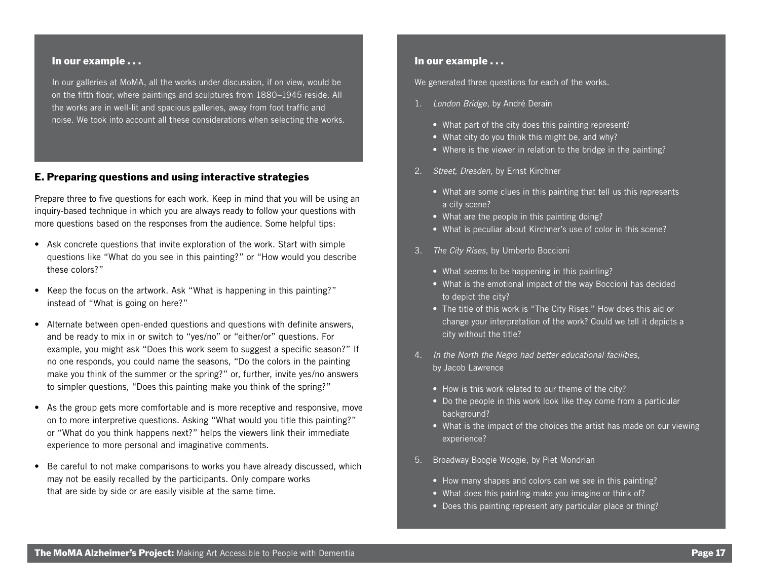#### In our example . . .

In our galleries at MoMA, all the works under discussion, if on view, would be on the fifth floor, where paintings and sculptures from 1880–1945 reside. All the works are in well-lit and spacious galleries, away from foot traffic and noise. We took into account all these considerations when selecting the works.

### E. Preparing questions and using interactive strategies

Prepare three to five questions for each work. Keep in mind that you will be using an inquiry-based technique in which you are always ready to follow your questions with more questions based on the responses from the audience. Some helpful tips:

- Ask concrete questions that invite exploration of the work. Start with simple questions like "What do you see in this painting?" or "How would you describe these colors?"
- Keep the focus on the artwork. Ask "What is happening in this painting?" instead of "What is going on here?"
- Alternate between open-ended questions and questions with definite answers, and be ready to mix in or switch to "yes/no" or "either/or" questions. For example, you might ask "Does this work seem to suggest a specific season?" If no one responds, you could name the seasons, "Do the colors in the painting make you think of the summer or the spring?" or, further, invite yes/no answers to simpler questions, "Does this painting make you think of the spring?"
- As the group gets more comfortable and is more receptive and responsive, move on to more interpretive questions. Asking "What would you title this painting?" or "What do you think happens next?" helps the viewers link their immediate experience to more personal and imaginative comments.
- Be careful to not make comparisons to works you have already discussed, which may not be easily recalled by the participants. Only compare works that are side by side or are easily visible at the same time.

#### In our example . . .

We generated three questions for each of the works.

- 1. *London Bridge*, by André Derain
	- What part of the city does this painting represent?
	- What city do you think this might be, and why?
	- Where is the viewer in relation to the bridge in the painting?
- 2. *Street, Dresden*, by Ernst Kirchner
	- What are some clues in this painting that tell us this represents a city scene?
	- What are the people in this painting doing?
	- What is peculiar about Kirchner's use of color in this scene?
- 3. *The City Rises*, by Umberto Boccioni
	- What seems to be happening in this painting?
	- What is the emotional impact of the way Boccioni has decided to depict the city?
	- The title of this work is "The City Rises." How does this aid or change your interpretation of the work? Could we tell it depicts a city without the title?
- 4. *In the North the Negro had better educational facilities*, by Jacob Lawrence
	- How is this work related to our theme of the city?
	- Do the people in this work look like they come from a particular background?
	- What is the impact of the choices the artist has made on our viewing experience?
- 5. Broadway Boogie Woogie, by Piet Mondrian
	- How many shapes and colors can we see in this painting?
	- What does this painting make you imagine or think of?
	- Does this painting represent any particular place or thing?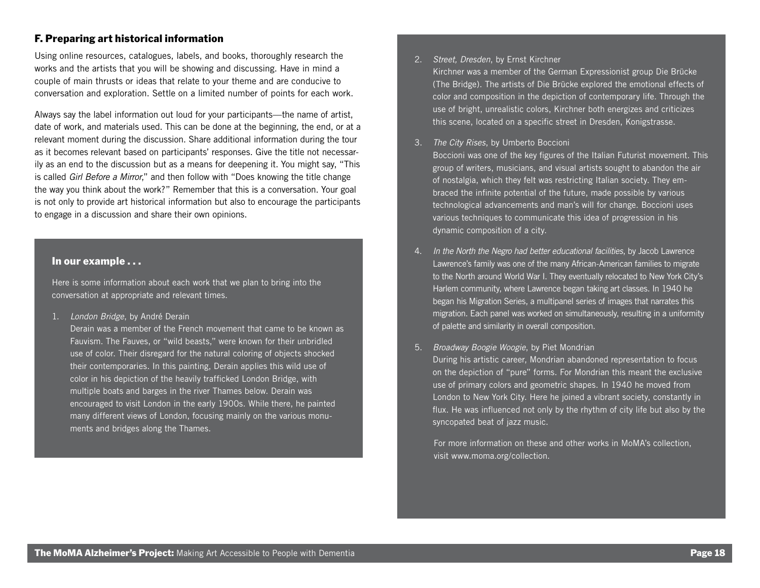### F. Preparing art historical information

Using online resources, catalogues, labels, and books, thoroughly research the works and the artists that you will be showing and discussing. Have in mind a couple of main thrusts or ideas that relate to your theme and are conducive to conversation and exploration. Settle on a limited number of points for each work.

Always say the label information out loud for your participants—the name of artist, date of work, and materials used. This can be done at the beginning, the end, or at a relevant moment during the discussion. Share additional information during the tour as it becomes relevant based on participants' responses. Give the title not necessarily as an end to the discussion but as a means for deepening it. You might say, "This is called *Girl Before a Mirror*," and then follow with "Does knowing the title change the way you think about the work?" Remember that this is a conversation. Your goal is not only to provide art historical information but also to encourage the participants to engage in a discussion and share their own opinions.

#### In our example . . .

Here is some information about each work that we plan to bring into the conversation at appropriate and relevant times.

1. *London Bridge*, by André Derain

Derain was a member of the French movement that came to be known as Fauvism. The Fauves, or "wild beasts," were known for their unbridled use of color. Their disregard for the natural coloring of objects shocked their contemporaries. In this painting, Derain applies this wild use of color in his depiction of the heavily trafficked London Bridge, with multiple boats and barges in the river Thames below. Derain was encouraged to visit London in the early 1900s. While there, he painted many different views of London, focusing mainly on the various monuments and bridges along the Thames.

#### 2. *Street, Dresden*, by Ernst Kirchner

Kirchner was a member of the German Expressionist group Die Brücke (The Bridge). The artists of Die Brücke explored the emotional effects of color and composition in the depiction of contemporary life. Through the use of bright, unrealistic colors, Kirchner both energizes and criticizes this scene, located on a specific street in Dresden, Konigstrasse.

3. *The City Rises*, by Umberto Boccioni

Boccioni was one of the key figures of the Italian Futurist movement. This group of writers, musicians, and visual artists sought to abandon the air of nostalgia, which they felt was restricting Italian society. They embraced the infinite potential of the future, made possible by various technological advancements and man's will for change. Boccioni uses various techniques to communicate this idea of progression in his dynamic composition of a city.

4. *In the North the Negro had better educational facilities*, by Jacob Lawrence Lawrence's family was one of the many African-American families to migrate to the North around World War I. They eventually relocated to New York City's Harlem community, where Lawrence began taking art classes. In 1940 he began his Migration Series, a multipanel series of images that narrates this migration. Each panel was worked on simultaneously, resulting in a uniformity of palette and similarity in overall composition.

#### 5. *Broadway Boogie Woogie*, by Piet Mondrian

During his artistic career, Mondrian abandoned representation to focus on the depiction of "pure" forms. For Mondrian this meant the exclusive use of primary colors and geometric shapes. In 1940 he moved from London to New York City. Here he joined a vibrant society, constantly in flux. He was influenced not only by the rhythm of city life but also by the syncopated beat of jazz music.

For more information on these and other works in MoMA's collection, visit www.moma.org/collection.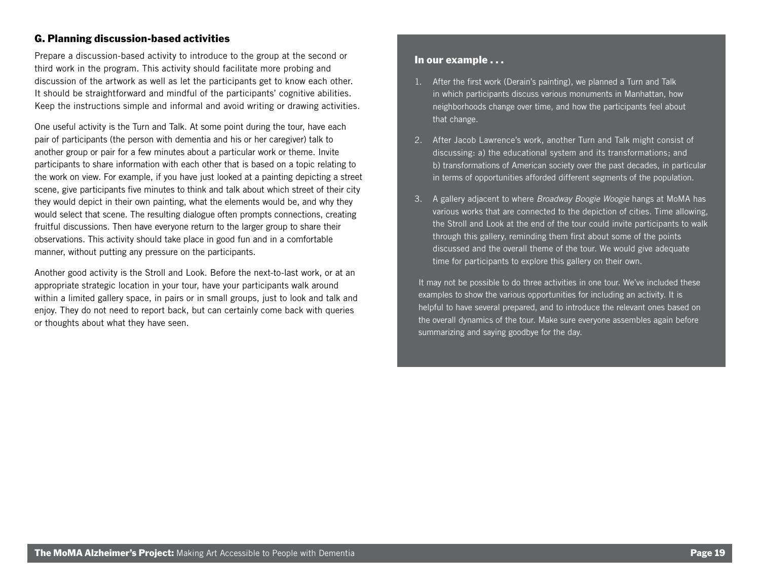### G. Planning discussion-based activities

Prepare a discussion-based activity to introduce to the group at the second or third work in the program. This activity should facilitate more probing and discussion of the artwork as well as let the participants get to know each other. It should be straightforward and mindful of the participants' cognitive abilities. Keep the instructions simple and informal and avoid writing or drawing activities.

One useful activity is the Turn and Talk. At some point during the tour, have each pair of participants (the person with dementia and his or her caregiver) talk to another group or pair for a few minutes about a particular work or theme. Invite participants to share information with each other that is based on a topic relating to the work on view. For example, if you have just looked at a painting depicting a street scene, give participants five minutes to think and talk about which street of their city they would depict in their own painting, what the elements would be, and why they would select that scene. The resulting dialogue often prompts connections, creating fruitful discussions. Then have everyone return to the larger group to share their observations. This activity should take place in good fun and in a comfortable manner, without putting any pressure on the participants.

Another good activity is the Stroll and Look. Before the next-to-last work, or at an appropriate strategic location in your tour, have your participants walk around within a limited gallery space, in pairs or in small groups, just to look and talk and enjoy. They do not need to report back, but can certainly come back with queries or thoughts about what they have seen.

### In our example . . .

- 1. After the first work (Derain's painting), we planned a Turn and Talk in which participants discuss various monuments in Manhattan, how neighborhoods change over time, and how the participants feel about that change.
- 2. After Jacob Lawrence's work, another Turn and Talk might consist of discussing: a) the educational system and its transformations; and b) transformations of American society over the past decades, in particular in terms of opportunities afforded different segments of the population.
- 3. A gallery adjacent to where *Broadway Boogie Woogie* hangs at MoMA has various works that are connected to the depiction of cities. Time allowing, the Stroll and Look at the end of the tour could invite participants to walk through this gallery, reminding them first about some of the points discussed and the overall theme of the tour. We would give adequate time for participants to explore this gallery on their own.

 It may not be possible to do three activities in one tour. We've included these examples to show the various opportunities for including an activity. It is helpful to have several prepared, and to introduce the relevant ones based on the overall dynamics of the tour. Make sure everyone assembles again before summarizing and saying goodbye for the day.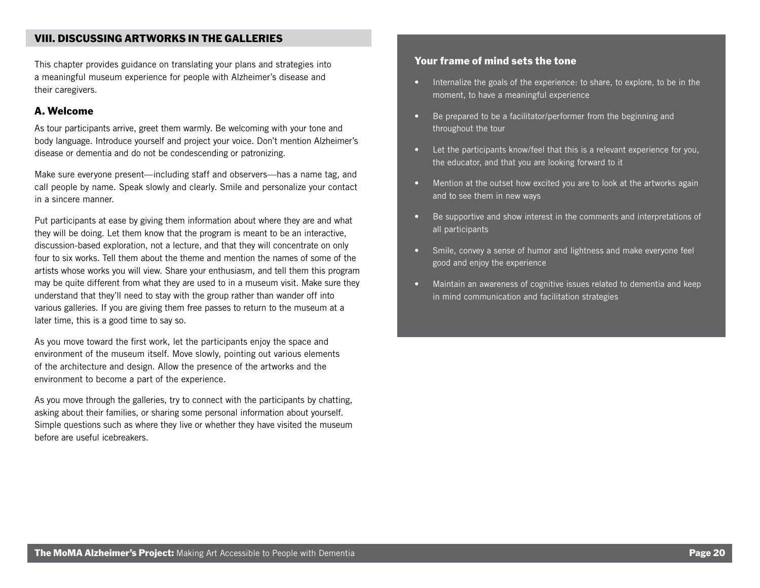### VIII. DISCUSSING ARTWORKS IN THE GALLERIES

This chapter provides guidance on translating your plans and strategies into a meaningful museum experience for people with Alzheimer's disease and their caregivers.

### A. Welcome

As tour participants arrive, greet them warmly. Be welcoming with your tone and body language. Introduce yourself and project your voice. Don't mention Alzheimer's disease or dementia and do not be condescending or patronizing.

Make sure everyone present—including staff and observers—has a name tag, and call people by name. Speak slowly and clearly. Smile and personalize your contact in a sincere manner.

Put participants at ease by giving them information about where they are and what they will be doing. Let them know that the program is meant to be an interactive, discussion-based exploration, not a lecture, and that they will concentrate on only four to six works. Tell them about the theme and mention the names of some of the artists whose works you will view. Share your enthusiasm, and tell them this program may be quite different from what they are used to in a museum visit. Make sure they understand that they'll need to stay with the group rather than wander off into various galleries. If you are giving them free passes to return to the museum at a later time, this is a good time to say so.

As you move toward the first work, let the participants enjoy the space and environment of the museum itself. Move slowly, pointing out various elements of the architecture and design. Allow the presence of the artworks and the environment to become a part of the experience.

As you move through the galleries, try to connect with the participants by chatting, asking about their families, or sharing some personal information about yourself. Simple questions such as where they live or whether they have visited the museum before are useful icebreakers.

### Your frame of mind sets the tone

- Internalize the goals of the experience: to share, to explore, to be in the moment, to have a meaningful experience
- Be prepared to be a facilitator/performer from the beginning and throughout the tour
- Let the participants know/feel that this is a relevant experience for you, the educator, and that you are looking forward to it
- Mention at the outset how excited you are to look at the artworks again and to see them in new ways
- Be supportive and show interest in the comments and interpretations of all participants
- Smile, convey a sense of humor and lightness and make everyone feel good and enjoy the experience
- Maintain an awareness of cognitive issues related to dementia and keep in mind communication and facilitation strategies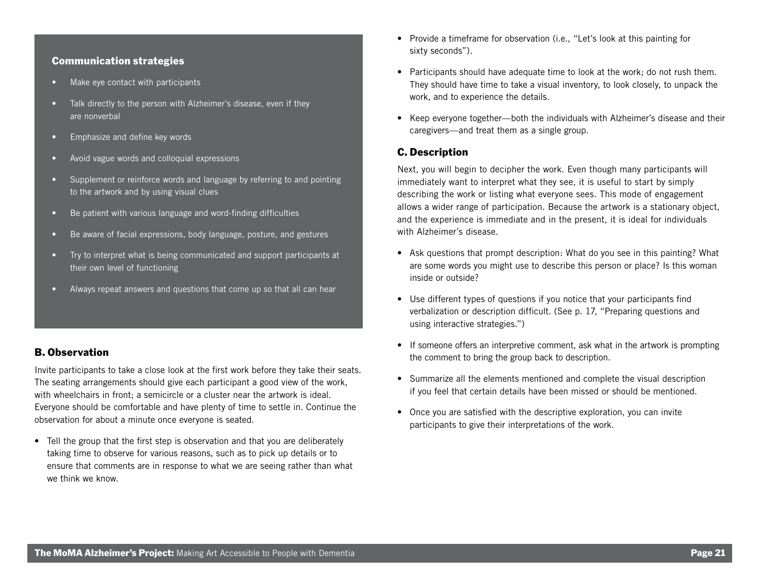### Communication strategies

- Make eye contact with participants
- Talk directly to the person with Alzheimer's disease, even if they are nonverbal
- Emphasize and define key words
- Avoid vague words and colloquial expressions
- Supplement or reinforce words and language by referring to and pointing to the artwork and by using visual clues
- Be patient with various language and word-finding difficulties
- Be aware of facial expressions, body language, posture, and gestures
- Try to interpret what is being communicated and support participants at their own level of functioning
- Always repeat answers and questions that come up so that all can hear

### B. Observation

Invite participants to take a close look at the first work before they take their seats. The seating arrangements should give each participant a good view of the work, with wheelchairs in front: a semicircle or a cluster near the artwork is ideal. Everyone should be comfortable and have plenty of time to settle in. Continue the observation for about a minute once everyone is seated.

• Tell the group that the first step is observation and that you are deliberately taking time to observe for various reasons, such as to pick up details or to ensure that comments are in response to what we are seeing rather than what we think we know.

- Provide a timeframe for observation (i.e., "Let's look at this painting for sixty seconds").
- Participants should have adequate time to look at the work; do not rush them. They should have time to take a visual inventory, to look closely, to unpack the work, and to experience the details.
- Keep everyone together—both the individuals with Alzheimer's disease and their caregivers—and treat them as a single group.

### C. Description

Next, you will begin to decipher the work. Even though many participants will immediately want to interpret what they see, it is useful to start by simply describing the work or listing what everyone sees. This mode of engagement allows a wider range of participation. Because the artwork is a stationary object, and the experience is immediate and in the present, it is ideal for individuals with Alzheimer's disease.

- Ask questions that prompt description: What do you see in this painting? What are some words you might use to describe this person or place? Is this woman inside or outside?
- Use different types of questions if you notice that your participants find verbalization or description difficult. (See p. 17, "Preparing questions and using interactive strategies.")
- If someone offers an interpretive comment, ask what in the artwork is prompting the comment to bring the group back to description.
- Summarize all the elements mentioned and complete the visual description if you feel that certain details have been missed or should be mentioned.
- Once you are satisfied with the descriptive exploration, you can invite participants to give their interpretations of the work.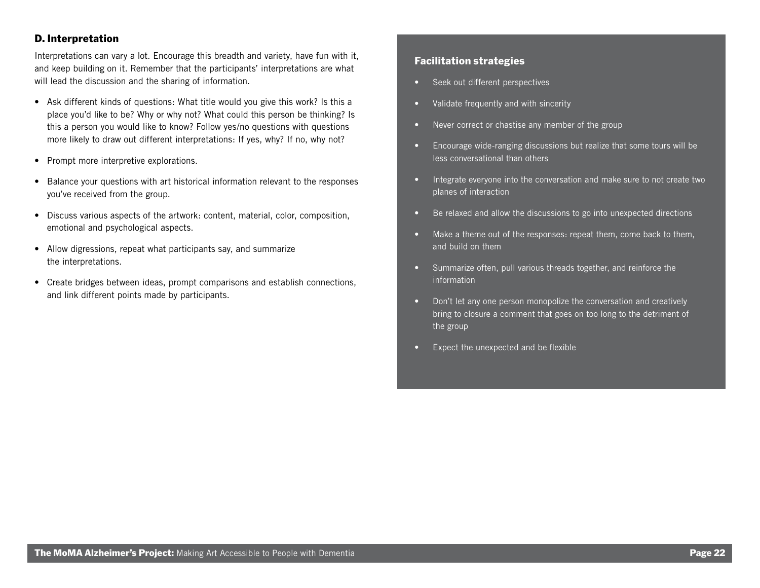### D. Interpretation

Interpretations can vary a lot. Encourage this breadth and variety, have fun with it, and keep building on it. Remember that the participants' interpretations are what will lead the discussion and the sharing of information.

- Ask different kinds of questions: What title would you give this work? Is this a place you'd like to be? Why or why not? What could this person be thinking? Is this a person you would like to know? Follow yes/no questions with questions more likely to draw out different interpretations: If yes, why? If no, why not?
- Prompt more interpretive explorations.
- Balance your questions with art historical information relevant to the responses you've received from the group.
- Discuss various aspects of the artwork: content, material, color, composition, emotional and psychological aspects.
- Allow digressions, repeat what participants say, and summarize the interpretations.
- Create bridges between ideas, prompt comparisons and establish connections, and link different points made by participants.

### Facilitation strategies

- Seek out different perspectives
- Validate frequently and with sincerity
- Never correct or chastise any member of the group
- Encourage wide-ranging discussions but realize that some tours will be less conversational than others
- Integrate everyone into the conversation and make sure to not create two planes of interaction
- Be relaxed and allow the discussions to go into unexpected directions
- Make a theme out of the responses: repeat them, come back to them, and build on them
- Summarize often, pull various threads together, and reinforce the information
- Don't let any one person monopolize the conversation and creatively bring to closure a comment that goes on too long to the detriment of the group
- Expect the unexpected and be flexible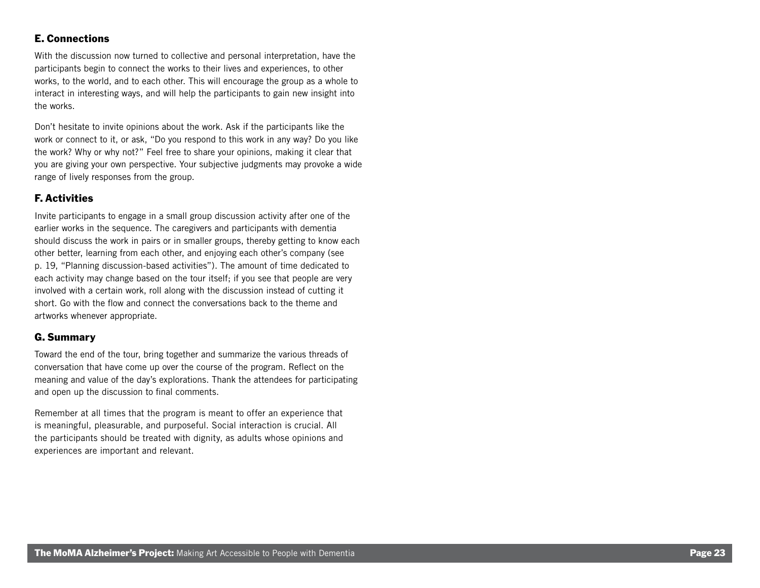### E. Connections

With the discussion now turned to collective and personal interpretation, have the participants begin to connect the works to their lives and experiences, to other works, to the world, and to each other. This will encourage the group as a whole to interact in interesting ways, and will help the participants to gain new insight into the works.

Don't hesitate to invite opinions about the work. Ask if the participants like the work or connect to it, or ask, "Do you respond to this work in any way? Do you like the work? Why or why not?" Feel free to share your opinions, making it clear that you are giving your own perspective. Your subjective judgments may provoke a wide range of lively responses from the group.

### F. Activities

Invite participants to engage in a small group discussion activity after one of the earlier works in the sequence. The caregivers and participants with dementia should discuss the work in pairs or in smaller groups, thereby getting to know each other better, learning from each other, and enjoying each other's company (see p. 19, "Planning discussion-based activities"). The amount of time dedicated to each activity may change based on the tour itself; if you see that people are very involved with a certain work, roll along with the discussion instead of cutting it short. Go with the flow and connect the conversations back to the theme and artworks whenever appropriate.

### G. Summary

Toward the end of the tour, bring together and summarize the various threads of conversation that have come up over the course of the program. Reflect on the meaning and value of the day's explorations. Thank the attendees for participating and open up the discussion to final comments.

Remember at all times that the program is meant to offer an experience that is meaningful, pleasurable, and purposeful. Social interaction is crucial. All the participants should be treated with dignity, as adults whose opinions and experiences are important and relevant.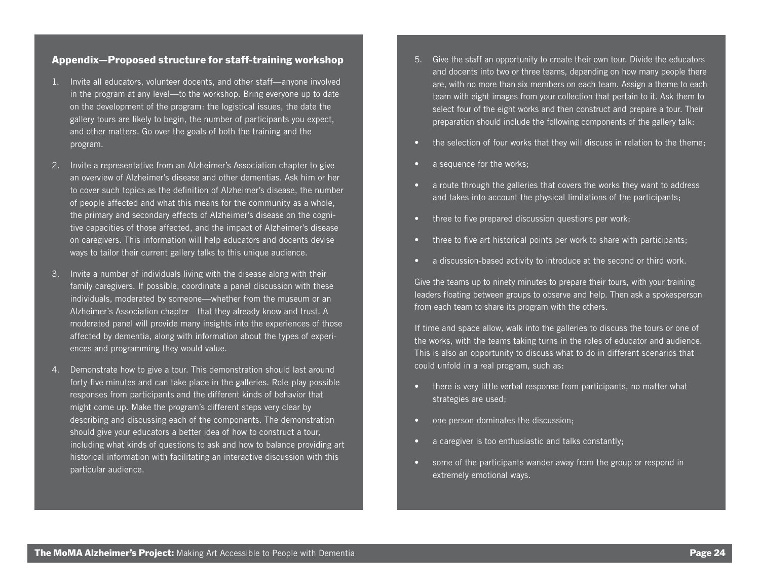### Appendix—Proposed structure for staff-training workshop

- 1. Invite all educators, volunteer docents, and other staff—anyone involved in the program at any level—to the workshop. Bring everyone up to date on the development of the program: the logistical issues, the date the gallery tours are likely to begin, the number of participants you expect, and other matters. Go over the goals of both the training and the program.
- 2. Invite a representative from an Alzheimer's Association chapter to give an overview of Alzheimer's disease and other dementias. Ask him or her to cover such topics as the definition of Alzheimer's disease, the number of people affected and what this means for the community as a whole, the primary and secondary effects of Alzheimer's disease on the cognitive capacities of those affected, and the impact of Alzheimer's disease on caregivers. This information will help educators and docents devise ways to tailor their current gallery talks to this unique audience.
- 3. Invite a number of individuals living with the disease along with their family caregivers. If possible, coordinate a panel discussion with these individuals, moderated by someone—whether from the museum or an Alzheimer's Association chapter—that they already know and trust. A moderated panel will provide many insights into the experiences of those affected by dementia, along with information about the types of experiences and programming they would value.
- 4. Demonstrate how to give a tour. This demonstration should last around forty-five minutes and can take place in the galleries. Role-play possible responses from participants and the different kinds of behavior that might come up. Make the program's different steps very clear by describing and discussing each of the components. The demonstration should give your educators a better idea of how to construct a tour, including what kinds of questions to ask and how to balance providing art historical information with facilitating an interactive discussion with this particular audience.
- 5. Give the staff an opportunity to create their own tour. Divide the educators and docents into two or three teams, depending on how many people there are, with no more than six members on each team. Assign a theme to each team with eight images from your collection that pertain to it. Ask them to select four of the eight works and then construct and prepare a tour. Their preparation should include the following components of the gallery talk:
- the selection of four works that they will discuss in relation to the theme;
- a sequence for the works;
- a route through the galleries that covers the works they want to address and takes into account the physical limitations of the participants;
- three to five prepared discussion questions per work;
- three to five art historical points per work to share with participants;
- a discussion-based activity to introduce at the second or third work.

Give the teams up to ninety minutes to prepare their tours, with your training leaders floating between groups to observe and help. Then ask a spokesperson from each team to share its program with the others.

If time and space allow, walk into the galleries to discuss the tours or one of the works, with the teams taking turns in the roles of educator and audience. This is also an opportunity to discuss what to do in different scenarios that could unfold in a real program, such as:

- there is very little verbal response from participants, no matter what strategies are used;
- one person dominates the discussion;
- a caregiver is too enthusiastic and talks constantly;
- some of the participants wander away from the group or respond in extremely emotional ways.